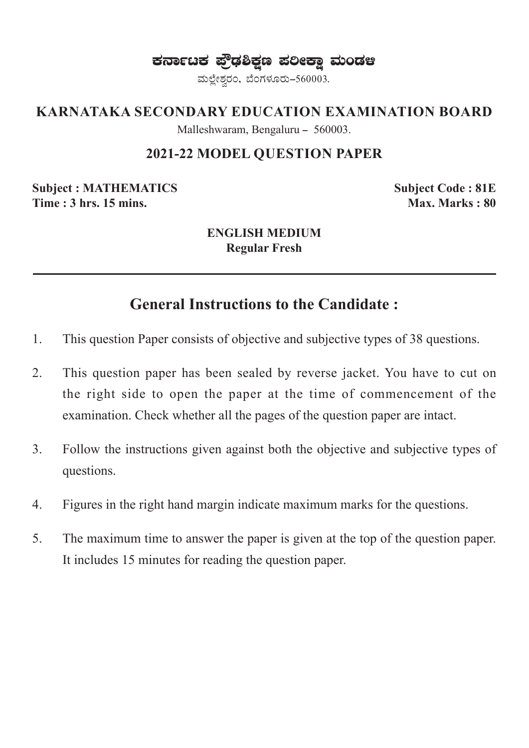ಕರ್ನಾಟಕ ಪ್ರೌಢಶಿಕ್ಷಣ ಪಲೀಕ್ಷಾ ಮಂಡಆ

ಮಲ್ಲೇಶ್ವರಂ, ಬೆಂಗಳೂರು-560003.

### **KARNATAKA SECONDARY EDUCATION EXAMINATION BOARD**

Malleshwaram, Bengaluru - 560003.

### **2021-22 MODEL QUESTION PAPER**

**Subject : MATHEMATICS Subject Code : 81E Time : 3 hrs. 15 mins. Max. Marks : 80 Max. Marks : 80** 

#### **ENGLISH MEDIUM Regular Fresh**

## **General Instructions to the Candidate :**

- 1. This question Paper consists of objective and subjective types of 38 questions.
- 2. This question paper has been sealed by reverse jacket. You have to cut on the right side to open the paper at the time of commencement of the examination. Check whether all the pages of the question paper are intact.
- 3. Follow the instructions given against both the objective and subjective types of questions.
- 4. Figures in the right hand margin indicate maximum marks for the questions.
- 5. The maximum time to answer the paper is given at the top of the question paper. It includes 15 minutes for reading the question paper.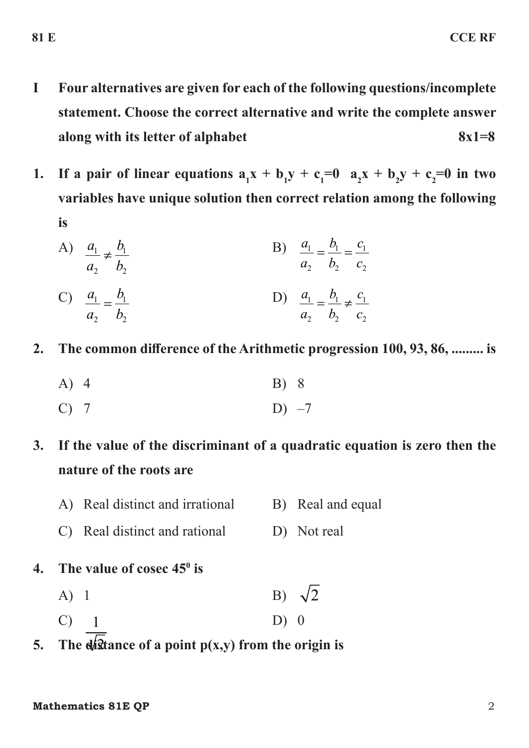- **I Four alternatives are given for each of the following questions/incomplete statement. Choose the correct alternative and write the complete answer along with its letter of alphabet 8x1=8**
- **1.** If a pair of linear equations  $a_1x + b_1y + c_1 = 0$   $a_2x + b_2y + c_2 = 0$  in two **variables have unique solution then correct relation among the following is**

A) 
$$
\frac{a_1}{a_2} \neq \frac{b_1}{b_2}
$$
 \t\t B)  $\frac{a_1}{a_2} = \frac{b_1}{b_2} = \frac{c_1}{c_2}$ 

C) 
$$
\frac{a_1}{a_2} = \frac{b_1}{b_2}
$$
   
 D)  $\frac{a_1}{a_2} = \frac{b_1}{b_2} \neq \frac{c_1}{c_2}$ 

- **2. The common difference of the Arithmetic progression 100, 93, 86, ......... is**
	- A) 4 B) 8

$$
C) 7 \t\t D) -7
$$

# **3. If the value of the discriminant of a quadratic equation is zero then the nature of the roots are**

- A) Real distinct and irrational B) Real and equal
- C) Real distinct and rational D) Not real
- **4. The value of cosec 450 is**
	- A) 1 B)  $\sqrt{2}$  $C$ ) 1  $D) 0$
	-
- 2 **5. The distance of a point p(x,y) from the origin is**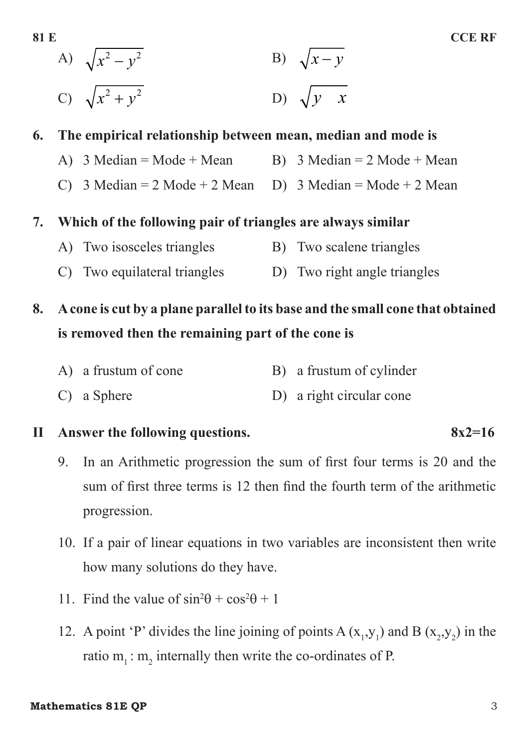A)  $\sqrt{x^2 - y^2}$ B)  $\sqrt{x-y}$ C)  $\sqrt{x^2 + y^2}$  $\n D) \n  $\sqrt{y - x}$$ 

## **6. The empirical relationship between mean, median and mode is**

- A)  $3 \text{ Median} = \text{Mode} + \text{Mean}$  B)  $3 \text{ Median} = 2 \text{ Mode} + \text{Mean}$
- C) 3 Median = 2 Mode + 2 Mean D) 3 Median = Mode + 2 Mean

## **7. Which of the following pair of triangles are always similar**

- A) Two isosceles triangles B) Two scalene triangles
- C) Two equilateral triangles D) Two right angle triangles

# **8. A cone is cut by a plane parallel to its base and the small cone that obtained is removed then the remaining part of the cone is**

|  | A) a frustum of cone |  |  | B) a frustum of cylinder |  |  |  |  |
|--|----------------------|--|--|--------------------------|--|--|--|--|
|--|----------------------|--|--|--------------------------|--|--|--|--|

C) a Sphere D) a right circular cone

## **II Answer the following questions. 8x2=16**

- 9. In an Arithmetic progression the sum of first four terms is 20 and the sum of first three terms is 12 then find the fourth term of the arithmetic progression.
- 10. If a pair of linear equations in two variables are inconsistent then write how many solutions do they have.
- 11. Find the value of  $\sin^2\theta + \cos^2\theta + 1$
- 12. A point 'P' divides the line joining of points  $A(x_1, y_1)$  and  $B(x_2, y_2)$  in the ratio  $m_1$ :  $m_2$  internally then write the co-ordinates of P.

#### **Mathematics 81E OP** 3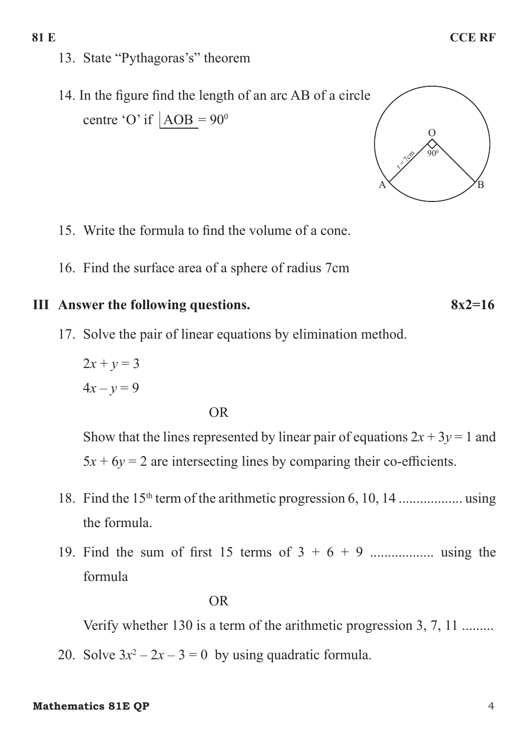13. State "Pythagoras's" theorem

14. In the figure find the length of an arc AB of a circle centre 'O' if  $|AOB = 90^{\circ}$ 



- 15. Write the formula to find the volume of a cone.
- 16. Find the surface area of a sphere of radius 7cm

## **III** Answer the following questions. 8x2=16

17. Solve the pair of linear equations by elimination method.

 $2x + y = 3$  $4x - y = 9$ 

#### OR

Show that the lines represented by linear pair of equations  $2x + 3y = 1$  and  $5x + 6y = 2$  are intersecting lines by comparing their co-efficients.

- 18. Find the 15th term of the arithmetic progression 6, 10, 14 .................. using the formula.
- 19. Find the sum of first 15 terms of 3 + 6 + 9 .................. using the formula

#### OR

Verify whether 130 is a term of the arithmetic progression 3, 7, 11 .........

20. Solve  $3x^2 - 2x - 3 = 0$  by using quadratic formula.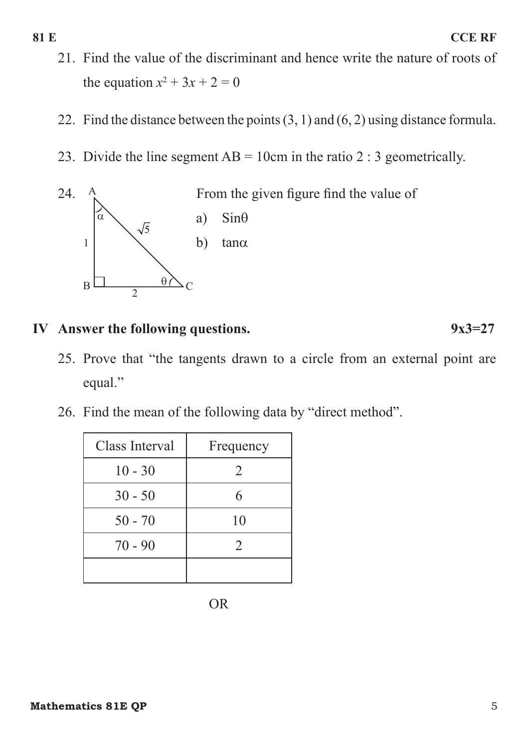- 21. Find the value of the discriminant and hence write the nature of roots of the equation  $x^2 + 3x + 2 = 0$
- 22. Find the distance between the points  $(3, 1)$  and  $(6, 2)$  using distance formula.
- 23. Divide the line segment  $AB = 10$ cm in the ratio 2 : 3 geometrically.



## **IV** Answer the following questions. 9x3=27

- 25. Prove that "the tangents drawn to a circle from an external point are equal."
- 26. Find the mean of the following data by "direct method".

| Class Interval | Frequency      |  |  |
|----------------|----------------|--|--|
| $10 - 30$      | $\overline{2}$ |  |  |
| $30 - 50$      | 6              |  |  |
| $50 - 70$      | 10             |  |  |
| $70 - 90$      | $\overline{2}$ |  |  |
|                |                |  |  |

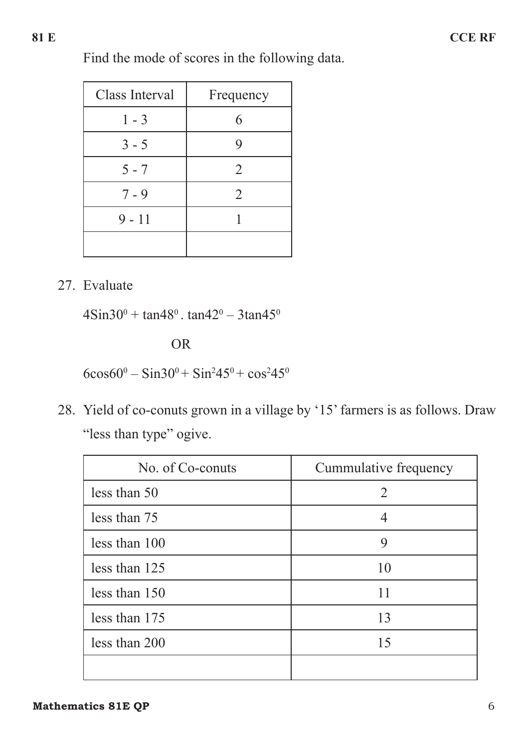Find the mode of scores in the following data.

| Class Interval | Frequency      |  |
|----------------|----------------|--|
| $1 - 3$        |                |  |
| $3 - 5$        |                |  |
| $5 - 7$        | $\overline{2}$ |  |
| $7 - 9$        | 2              |  |
| $9 - 11$       |                |  |
|                |                |  |

27. Evaluate

 $4\text{Sin}30^0 + \text{tan}48^0$ .  $\tan 42^0 - 3\tan 45^0$ 

OR

 $6\cos 60^\circ - \sin 30^\circ + \sin^2 45^\circ + \cos^2 45^\circ$ 

28. Yield of co-conuts grown in a village by '15' farmers is as follows. Draw "less than type" ogive.

| No. of Co-conuts | Cummulative frequency       |  |  |
|------------------|-----------------------------|--|--|
| less than 50     | $\mathcal{D}_{\mathcal{L}}$ |  |  |
| less than 75     |                             |  |  |
| less than 100    | 9                           |  |  |
| less than 125    | 10                          |  |  |
| less than 150    | 11                          |  |  |
| less than 175    | 13                          |  |  |
| less than 200    | 15                          |  |  |
|                  |                             |  |  |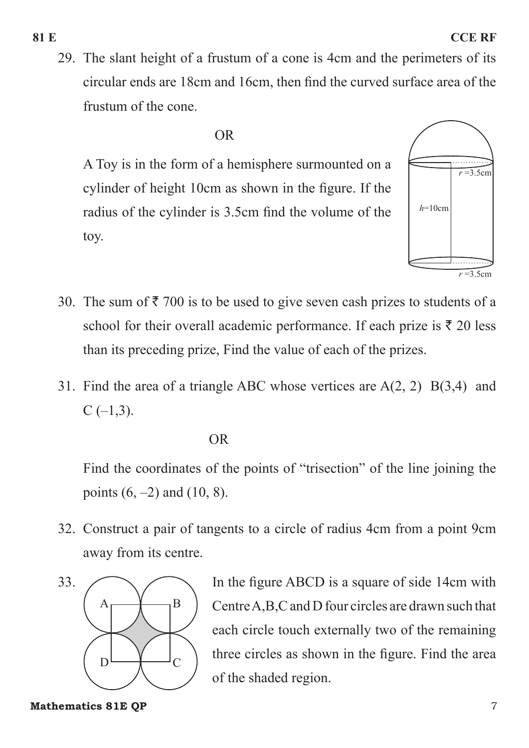29. The slant height of a frustum of a cone is 4cm and the perimeters of its circular ends are 18cm and 16cm, then find the curved surface area of the frustum of the cone.

#### OR

A Toy is in the form of a hemisphere surmounted on a cylinder of height 10cm as shown in the figure. If the radius of the cylinder is 3.5cm find the volume of the toy.



- 30. The sum of  $\bar{\tau}$  700 is to be used to give seven cash prizes to students of a school for their overall academic performance. If each prize is  $\bar{\tau}$  20 less than its preceding prize, Find the value of each of the prizes.
- 31. Find the area of a triangle ABC whose vertices are A(2, 2) B(3,4) and  $C$  (-1,3).

#### OR

Find the coordinates of the points of "trisection" of the line joining the points  $(6, -2)$  and  $(10, 8)$ .

32. Construct a pair of tangents to a circle of radius 4cm from a point 9cm away from its centre.



33. In the figure ABCD is a square of side 14cm with Centre A,B,C and D four circles are drawn such that each circle touch externally two of the remaining three circles as shown in the figure. Find the area of the shaded region.

**Mathematics 81E QP** 7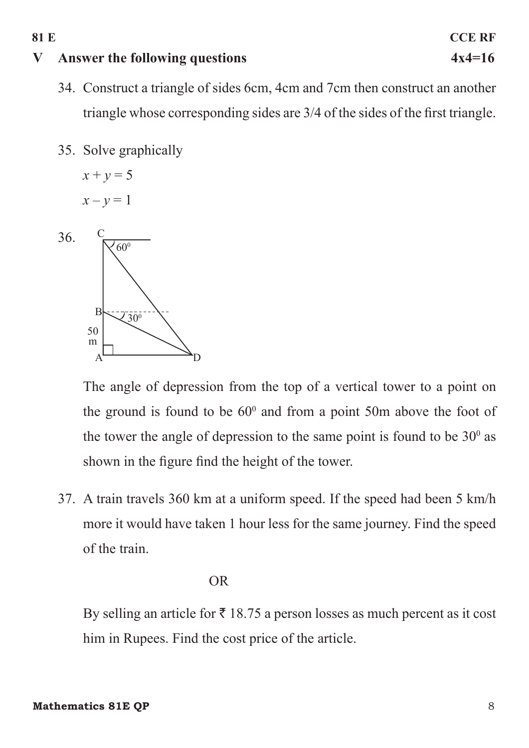## **V Answer the following questions 4x4=16**

- 34. Construct a triangle of sides 6cm, 4cm and 7cm then construct an another triangle whose corresponding sides are 3/4 of the sides of the first triangle.
- 35. Solve graphically

 $x + y = 5$  $x - y = 1$ 



The angle of depression from the top of a vertical tower to a point on the ground is found to be  $60^{\circ}$  and from a point 50m above the foot of the tower the angle of depression to the same point is found to be  $30^{\circ}$  as shown in the figure find the height of the tower.

37. A train travels 360 km at a uniform speed. If the speed had been 5 km/h more it would have taken 1 hour less for the same journey. Find the speed of the train.

#### OR

By selling an article for  $\bar{\tau}$  18.75 a person losses as much percent as it cost him in Rupees. Find the cost price of the article.